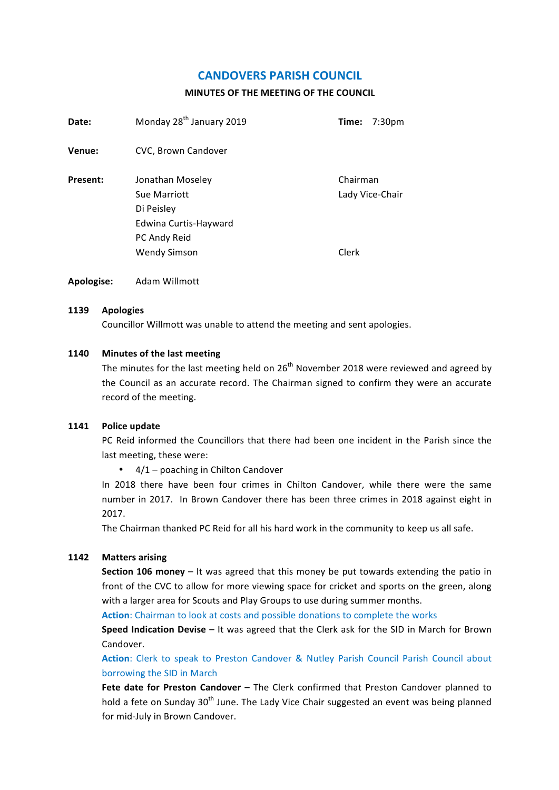# **CANDOVERS PARISH COUNCIL**

### **MINUTES OF THE MEETING OF THE COUNCIL**

| Date:    | Monday 28 <sup>th</sup> January 2019                                                    | Time:<br>7:30 <sub>pm</sub> |
|----------|-----------------------------------------------------------------------------------------|-----------------------------|
| Venue:   | CVC, Brown Candover                                                                     |                             |
| Present: | Jonathan Moseley<br>Sue Marriott<br>Di Peisley<br>Edwina Curtis-Hayward<br>PC Andy Reid | Chairman<br>Lady Vice-Chair |
|          | <b>Wendy Simson</b>                                                                     | Clerk                       |

**Apologise:** Adam Willmott

#### **1139 Apologies**

Councillor Willmott was unable to attend the meeting and sent apologies.

### **1140 Minutes of the last meeting**

The minutes for the last meeting held on  $26<sup>th</sup>$  November 2018 were reviewed and agreed by the Council as an accurate record. The Chairman signed to confirm they were an accurate record of the meeting.

#### **1141 Police update**

PC Reid informed the Councillors that there had been one incident in the Parish since the last meeting, these were:

•  $4/1$  – poaching in Chilton Candover

In 2018 there have been four crimes in Chilton Candover, while there were the same number in 2017. In Brown Candover there has been three crimes in 2018 against eight in 2017.

The Chairman thanked PC Reid for all his hard work in the community to keep us all safe.

## **1142 Matters arising**

**Section 106 money** – It was agreed that this money be put towards extending the patio in front of the CVC to allow for more viewing space for cricket and sports on the green, along with a larger area for Scouts and Play Groups to use during summer months.

**Action**: Chairman to look at costs and possible donations to complete the works

**Speed Indication Devise** – It was agreed that the Clerk ask for the SID in March for Brown Candover.

Action: Clerk to speak to Preston Candover & Nutley Parish Council Parish Council about borrowing the SID in March

**Fete date for Preston Candover** – The Clerk confirmed that Preston Candover planned to hold a fete on Sunday 30<sup>th</sup> June. The Lady Vice Chair suggested an event was being planned for mid-July in Brown Candover.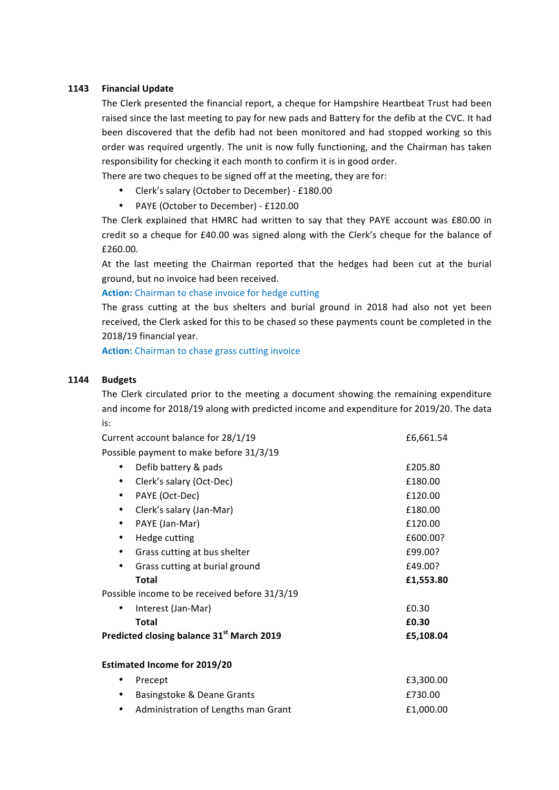### **1143 Financial Update**

The Clerk presented the financial report, a cheque for Hampshire Heartbeat Trust had been raised since the last meeting to pay for new pads and Battery for the defib at the CVC. It had been discovered that the defib had not been monitored and had stopped working so this order was required urgently. The unit is now fully functioning, and the Chairman has taken responsibility for checking it each month to confirm it is in good order.

There are two cheques to be signed off at the meeting, they are for:

- Clerk's salary (October to December) £180.00
- PAYE (October to December) £120.00

The Clerk explained that HMRC had written to say that they PAYE account was £80.00 in credit so a cheque for £40.00 was signed along with the Clerk's cheque for the balance of £260.00.

At the last meeting the Chairman reported that the hedges had been cut at the burial ground, but no invoice had been received.

### **Action:** Chairman to chase invoice for hedge cutting

The grass cutting at the bus shelters and burial ground in 2018 had also not yet been received, the Clerk asked for this to be chased so these payments count be completed in the 2018/19 financial year.

**Action:** Chairman to chase grass cutting invoice

## **1144 Budgets**

The Clerk circulated prior to the meeting a document showing the remaining expenditure and income for 2018/19 along with predicted income and expenditure for 2019/20. The data is:

|           | Current account balance for 28/1/19                   | £6,661.54 |
|-----------|-------------------------------------------------------|-----------|
|           | Possible payment to make before 31/3/19               |           |
| ٠         | Defib battery & pads                                  | £205.80   |
| ٠         | Clerk's salary (Oct-Dec)                              | £180.00   |
| $\bullet$ | PAYE (Oct-Dec)                                        | £120.00   |
| ٠         | Clerk's salary (Jan-Mar)                              | £180.00   |
| $\bullet$ | PAYE (Jan-Mar)                                        | £120.00   |
| $\bullet$ | Hedge cutting                                         | £600.00?  |
|           | Grass cutting at bus shelter                          | £99.00?   |
|           | Grass cutting at burial ground                        | £49.00?   |
|           | <b>Total</b>                                          | £1,553.80 |
|           | Possible income to be received before 31/3/19         |           |
| ٠         | Interest (Jan-Mar)                                    | £0.30     |
|           | Total                                                 | £0.30     |
|           | Predicted closing balance 31 <sup>st</sup> March 2019 | £5,108.04 |
|           | <b>Estimated Income for 2019/20</b>                   |           |
| ٠         | Precept                                               | £3,300.00 |
| ٠         | Basingstoke & Deane Grants                            | £730.00   |
|           | Administration of Lengths man Grant                   | £1,000.00 |
|           |                                                       |           |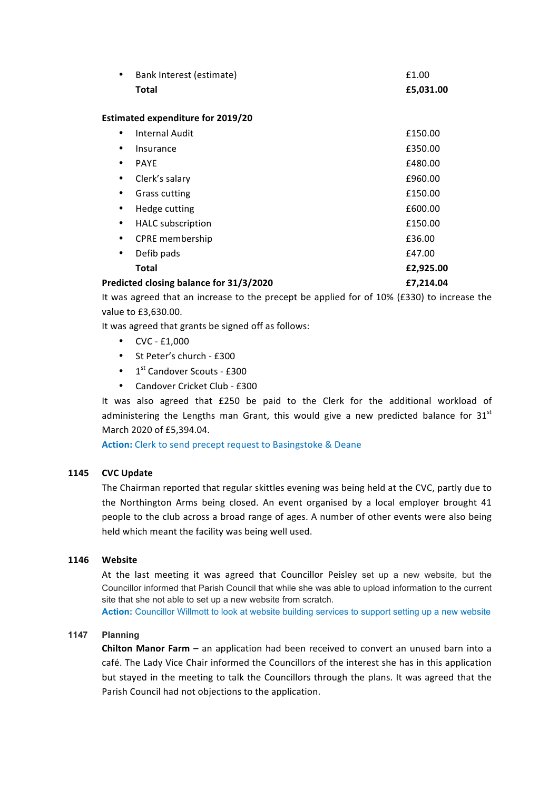| $\bullet$                                | Bank Interest (estimate) | £1.00     |  |  |
|------------------------------------------|--------------------------|-----------|--|--|
|                                          | <b>Total</b>             | £5,031.00 |  |  |
|                                          |                          |           |  |  |
| <b>Estimated expenditure for 2019/20</b> |                          |           |  |  |
| ٠                                        | <b>Internal Audit</b>    | £150.00   |  |  |
| ٠                                        | Insurance                | £350.00   |  |  |
| ٠                                        | <b>PAYE</b>              | £480.00   |  |  |
| $\bullet$                                | Clerk's salary           | £960.00   |  |  |
| $\bullet$                                | <b>Grass cutting</b>     | £150.00   |  |  |
| ٠                                        | Hedge cutting            | £600.00   |  |  |
| $\bullet$                                | <b>HALC</b> subscription | £150.00   |  |  |
| $\bullet$                                | CPRE membership          | £36.00    |  |  |
| $\bullet$                                | Defib pads               | £47.00    |  |  |
|                                          | <b>Total</b>             | £2,925.00 |  |  |
| Predicted closing balance for 31/3/2020  |                          | £7,214.04 |  |  |

It was agreed that an increase to the precept be applied for of 10% (£330) to increase the value to £3,630.00.

It was agreed that grants be signed off as follows:

- $CVC E1,000$
- St Peter's church £300
- $\cdot$  1<sup>st</sup> Candover Scouts £300
- Candover Cricket Club £300

It was also agreed that £250 be paid to the Clerk for the additional workload of administering the Lengths man Grant, this would give a new predicted balance for  $31<sup>st</sup>$ March 2020 of £5,394.04.

Action: Clerk to send precept request to Basingstoke & Deane

### **1145 CVC Update**

The Chairman reported that regular skittles evening was being held at the CVC, partly due to the Northington Arms being closed. An event organised by a local employer brought 41 people to the club across a broad range of ages. A number of other events were also being held which meant the facility was being well used.

#### **1146 Website**

At the last meeting it was agreed that Councillor Peisley set up a new website, but the Councillor informed that Parish Council that while she was able to upload information to the current site that she not able to set up a new website from scratch.

**Action:** Councillor Willmott to look at website building services to support setting up a new website

#### **1147 Planning**

**Chilton Manor Farm** – an application had been received to convert an unused barn into a café. The Lady Vice Chair informed the Councillors of the interest she has in this application but stayed in the meeting to talk the Councillors through the plans. It was agreed that the Parish Council had not objections to the application.